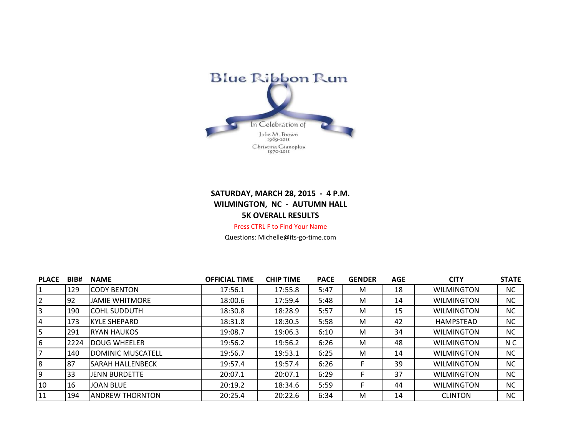

## **SATURDAY, MARCH 28, 2015 - 4 P.M. WILMINGTON, NC - AUTUMN HALL 5K OVERALL RESULTS** Press CTRL F to Find Your Name

Questions: Michelle@its-go-time.com

| <b>PLACE</b> | BIB# | <b>NAME</b>             | <b>OFFICIAL TIME</b> | <b>CHIP TIME</b> | <b>PACE</b> | <b>GENDER</b> | <b>AGE</b> | <b>CITY</b>       | <b>STATE</b> |
|--------------|------|-------------------------|----------------------|------------------|-------------|---------------|------------|-------------------|--------------|
|              | 129  | <b>ICODY BENTON</b>     | 17:56.1              | 17:55.8          | 5:47        | M             | 18         | <b>WILMINGTON</b> | <b>NC</b>    |
|              | 92   | <b>JAMIE WHITMORE</b>   | 18:00.6              | 17:59.4          | 5:48        | M             | 14         | <b>WILMINGTON</b> | <b>NC</b>    |
|              | 190  | <b>COHL SUDDUTH</b>     | 18:30.8              | 18:28.9          | 5:57        | M             | 15         | <b>WILMINGTON</b> | <b>NC</b>    |
| 4            | 173  | <b>KYLE SHEPARD</b>     | 18:31.8              | 18:30.5          | 5:58        | M             | 42         | <b>HAMPSTEAD</b>  | <b>NC</b>    |
|              | 291  | <b>IRYAN HAUKOS</b>     | 19:08.7              | 19:06.3          | 6:10        | м             | 34         | <b>WILMINGTON</b> | NC.          |
| 6            | 2224 | <b>IDOUG WHEELER</b>    | 19:56.2              | 19:56.2          | 6:26        | M             | 48         | <b>WILMINGTON</b> | N C          |
|              | 140  | DOMINIC MUSCATELL       | 19:56.7              | 19:53.1          | 6:25        | M             | 14         | <b>WILMINGTON</b> | <b>NC</b>    |
| 8            | 87   | <b>SARAH HALLENBECK</b> | 19:57.4              | 19:57.4          | 6:26        | F.            | 39         | <b>WILMINGTON</b> | <b>NC</b>    |
| 9            | 33   | <b>IJENN BURDETTE</b>   | 20:07.1              | 20:07.1          | 6:29        | F.            | 37         | <b>WILMINGTON</b> | <b>NC</b>    |
| 10           | 16   | <b>JJOAN BLUE</b>       | 20:19.2              | 18:34.6          | 5:59        |               | 44         | <b>WILMINGTON</b> | <b>NC</b>    |
| 11           | 194  | <b>ANDREW THORNTON</b>  | 20:25.4              | 20:22.6          | 6:34        | M             | 14         | <b>CLINTON</b>    | <b>NC</b>    |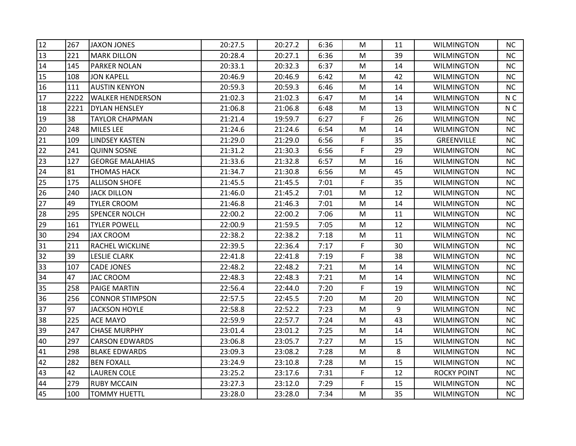| 12              | 267  | <b>JAXON JONES</b>      | 20:27.5 | 20:27.2 | 6:36 | M         | 11 | <b>WILMINGTON</b>  | NC.            |
|-----------------|------|-------------------------|---------|---------|------|-----------|----|--------------------|----------------|
| 13              | 221  | <b>MARK DILLON</b>      | 20:28.4 | 20:27.1 | 6:36 | M         | 39 | <b>WILMINGTON</b>  | <b>NC</b>      |
| 14              | 145  | <b>PARKER NOLAN</b>     | 20:33.1 | 20:32.3 | 6:37 | M         | 14 | <b>WILMINGTON</b>  | <b>NC</b>      |
| 15              | 108  | <b>JON KAPELL</b>       | 20:46.9 | 20:46.9 | 6:42 | M         | 42 | <b>WILMINGTON</b>  | <b>NC</b>      |
| 16              | 111  | <b>AUSTIN KENYON</b>    | 20:59.3 | 20:59.3 | 6:46 | M         | 14 | <b>WILMINGTON</b>  | NC             |
| 17              | 2222 | <b>WALKER HENDERSON</b> | 21:02.3 | 21:02.3 | 6:47 | М         | 14 | <b>WILMINGTON</b>  | N <sub>C</sub> |
| 18              | 2221 | <b>DYLAN HENSLEY</b>    | 21:06.8 | 21:06.8 | 6:48 | M         | 13 | <b>WILMINGTON</b>  | N <sub>C</sub> |
| 19              | 38   | <b>TAYLOR CHAPMAN</b>   | 21:21.4 | 19:59.7 | 6:27 | F         | 26 | <b>WILMINGTON</b>  | NC             |
| 20              | 248  | <b>MILES LEE</b>        | 21:24.6 | 21:24.6 | 6:54 | M         | 14 | <b>WILMINGTON</b>  | <b>NC</b>      |
| $\overline{21}$ | 109  | <b>LINDSEY KASTEN</b>   | 21:29.0 | 21:29.0 | 6:56 | F         | 35 | <b>GREENVILLE</b>  | <b>NC</b>      |
| 22              | 241  | <b>QUINN SOSNE</b>      | 21:31.2 | 21:30.3 | 6:56 | F         | 29 | <b>WILMINGTON</b>  | <b>NC</b>      |
| 23              | 127  | <b>GEORGE MALAHIAS</b>  | 21:33.6 | 21:32.8 | 6:57 | ${\sf M}$ | 16 | <b>WILMINGTON</b>  | <b>NC</b>      |
| 24              | 81   | <b>THOMAS HACK</b>      | 21:34.7 | 21:30.8 | 6:56 | M         | 45 | <b>WILMINGTON</b>  | <b>NC</b>      |
| 25              | 175  | <b>ALLISON SHOFE</b>    | 21:45.5 | 21:45.5 | 7:01 | F         | 35 | <b>WILMINGTON</b>  | <b>NC</b>      |
| 26              | 240  | <b>JACK DILLON</b>      | 21:46.0 | 21:45.2 | 7:01 | M         | 12 | <b>WILMINGTON</b>  | <b>NC</b>      |
| 27              | 49   | <b>TYLER CROOM</b>      | 21:46.8 | 21:46.3 | 7:01 | M         | 14 | <b>WILMINGTON</b>  | <b>NC</b>      |
| 28              | 295  | <b>SPENCER NOLCH</b>    | 22:00.2 | 22:00.2 | 7:06 | M         | 11 | <b>WILMINGTON</b>  | <b>NC</b>      |
| 29              | 161  | <b>TYLER POWELL</b>     | 22:00.9 | 21:59.5 | 7:05 | M         | 12 | <b>WILMINGTON</b>  | NC             |
| 30              | 294  | <b>JAX CROOM</b>        | 22:38.2 | 22:38.2 | 7:18 | M         | 11 | <b>WILMINGTON</b>  | <b>NC</b>      |
| 31              | 211  | RACHEL WICKLINE         | 22:39.5 | 22:36.4 | 7:17 | F         | 30 | <b>WILMINGTON</b>  | NC             |
| $32$            | 39   | <b>LESLIE CLARK</b>     | 22:41.8 | 22:41.8 | 7:19 | F         | 38 | <b>WILMINGTON</b>  | NC             |
| 33              | 107  | <b>CADE JONES</b>       | 22:48.2 | 22:48.2 | 7:21 | M         | 14 | <b>WILMINGTON</b>  | <b>NC</b>      |
| 34              | 47   | <b>JAC CROOM</b>        | 22:48.3 | 22:48.3 | 7:21 | M         | 14 | <b>WILMINGTON</b>  | <b>NC</b>      |
| 35              | 258  | <b>PAIGE MARTIN</b>     | 22:56.4 | 22:44.0 | 7:20 | F.        | 19 | <b>WILMINGTON</b>  | NC             |
| 36              | 256  | <b>CONNOR STIMPSON</b>  | 22:57.5 | 22:45.5 | 7:20 | M         | 20 | <b>WILMINGTON</b>  | <b>NC</b>      |
| 37              | 97   | <b>JACKSON HOYLE</b>    | 22:58.8 | 22:52.2 | 7:23 | M         | 9  | <b>WILMINGTON</b>  | NC             |
| 38              | 225  | <b>ACE MAYO</b>         | 22:59.9 | 22:57.7 | 7:24 | М         | 43 | <b>WILMINGTON</b>  | <b>NC</b>      |
| 39              | 247  | <b>CHASE MURPHY</b>     | 23:01.4 | 23:01.2 | 7:25 | M         | 14 | <b>WILMINGTON</b>  | <b>NC</b>      |
| 40              | 297  | <b>CARSON EDWARDS</b>   | 23:06.8 | 23:05.7 | 7:27 | M         | 15 | <b>WILMINGTON</b>  | <b>NC</b>      |
| 41              | 298  | <b>BLAKE EDWARDS</b>    | 23:09.3 | 23:08.2 | 7:28 | M         | 8  | <b>WILMINGTON</b>  | NC             |
| 42              | 282  | <b>BEN FOXALL</b>       | 23:24.9 | 23:10.8 | 7:28 | ${\sf M}$ | 15 | <b>WILMINGTON</b>  | <b>NC</b>      |
| 43              | 42   | <b>LAUREN COLE</b>      | 23:25.2 | 23:17.6 | 7:31 | F.        | 12 | <b>ROCKY POINT</b> | <b>NC</b>      |
| 44              | 279  | <b>RUBY MCCAIN</b>      | 23:27.3 | 23:12.0 | 7:29 | F         | 15 | <b>WILMINGTON</b>  | NC             |
| 45              | 100  | <b>TOMMY HUETTL</b>     | 23:28.0 | 23:28.0 | 7:34 | M         | 35 | <b>WILMINGTON</b>  | NC             |
|                 |      |                         |         |         |      |           |    |                    |                |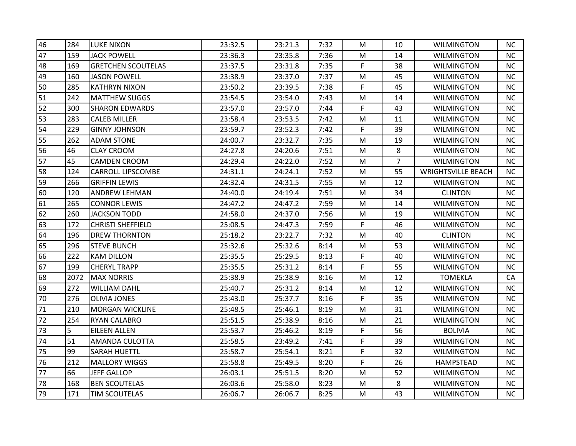| 46 | 284  | <b>LUKE NIXON</b>         | 23:32.5 | 23:21.3 | 7:32 | м         | 10             | <b>WILMINGTON</b>         | NC.       |
|----|------|---------------------------|---------|---------|------|-----------|----------------|---------------------------|-----------|
| 47 | 159  | <b>JACK POWELL</b>        | 23:36.3 | 23:35.8 | 7:36 | M         | 14             | <b>WILMINGTON</b>         | <b>NC</b> |
| 48 | 169  | <b>GRETCHEN SCOUTELAS</b> | 23:37.5 | 23:31.8 | 7:35 | F.        | 38             | <b>WILMINGTON</b>         | <b>NC</b> |
| 49 | 160  | <b>JASON POWELL</b>       | 23:38.9 | 23:37.0 | 7:37 | M         | 45             | <b>WILMINGTON</b>         | <b>NC</b> |
| 50 | 285  | <b>KATHRYN NIXON</b>      | 23:50.2 | 23:39.5 | 7:38 | F.        | 45             | <b>WILMINGTON</b>         | NC        |
| 51 | 242  | <b>MATTHEW SUGGS</b>      | 23:54.5 | 23:54.0 | 7:43 | М         | 14             | <b>WILMINGTON</b>         | <b>NC</b> |
| 52 | 300  | <b>SHARON EDWARDS</b>     | 23:57.0 | 23:57.0 | 7:44 | F         | 43             | <b>WILMINGTON</b>         | <b>NC</b> |
| 53 | 283  | <b>CALEB MILLER</b>       | 23:58.4 | 23:53.5 | 7:42 | M         | 11             | WILMINGTON                | NC        |
| 54 | 229  | <b>GINNY JOHNSON</b>      | 23:59.7 | 23:52.3 | 7:42 | F.        | 39             | <b>WILMINGTON</b>         | <b>NC</b> |
| 55 | 262  | <b>ADAM STONE</b>         | 24:00.7 | 23:32.7 | 7:35 | ${\sf M}$ | 19             | <b>WILMINGTON</b>         | <b>NC</b> |
| 56 | 46   | <b>CLAY CROOM</b>         | 24:27.8 | 24:20.6 | 7:51 | M         | 8              | <b>WILMINGTON</b>         | <b>NC</b> |
| 57 | 45   | <b>CAMDEN CROOM</b>       | 24:29.4 | 24:22.0 | 7:52 | M         | $\overline{7}$ | <b>WILMINGTON</b>         | <b>NC</b> |
| 58 | 124  | <b>CARROLL LIPSCOMBE</b>  | 24:31.1 | 24:24.1 | 7:52 | М         | 55             | <b>WRIGHTSVILLE BEACH</b> | <b>NC</b> |
| 59 | 266  | <b>GRIFFIN LEWIS</b>      | 24:32.4 | 24:31.5 | 7:55 | M         | 12             | <b>WILMINGTON</b>         | NC.       |
| 60 | 120  | ANDREW LEHMAN             | 24:40.0 | 24:19.4 | 7:51 | M         | 34             | <b>CLINTON</b>            | <b>NC</b> |
| 61 | 265  | <b>CONNOR LEWIS</b>       | 24:47.2 | 24:47.2 | 7:59 | М         | 14             | <b>WILMINGTON</b>         | <b>NC</b> |
| 62 | 260  | <b>JACKSON TODD</b>       | 24:58.0 | 24:37.0 | 7:56 | M         | 19             | <b>WILMINGTON</b>         | <b>NC</b> |
| 63 | 172  | <b>CHRISTI SHEFFIELD</b>  | 25:08.5 | 24:47.3 | 7:59 | F.        | 46             | <b>WILMINGTON</b>         | NC        |
| 64 | 196  | <b>DREW THORNTON</b>      | 25:18.2 | 23:22.7 | 7:32 | M         | 40             | <b>CLINTON</b>            | <b>NC</b> |
| 65 | 296  | <b>STEVE BUNCH</b>        | 25:32.6 | 25:32.6 | 8:14 | ${\sf M}$ | 53             | <b>WILMINGTON</b>         | <b>NC</b> |
| 66 | 222  | <b>KAM DILLON</b>         | 25:35.5 | 25:29.5 | 8:13 | F.        | 40             | <b>WILMINGTON</b>         | <b>NC</b> |
| 67 | 199  | <b>CHERYL TRAPP</b>       | 25:35.5 | 25:31.2 | 8:14 | F.        | 55             | <b>WILMINGTON</b>         | <b>NC</b> |
| 68 | 2072 | <b>MAX NORRIS</b>         | 25:38.9 | 25:38.9 | 8:16 | M         | 12             | <b>TOMEKLA</b>            | CA        |
| 69 | 272  | WILLIAM DAHL              | 25:40.7 | 25:31.2 | 8:14 | М         | 12             | <b>WILMINGTON</b>         | NC        |
| 70 | 276  | <b>OLIVIA JONES</b>       | 25:43.0 | 25:37.7 | 8:16 | F         | 35             | <b>WILMINGTON</b>         | <b>NC</b> |
| 71 | 210  | <b>MORGAN WICKLINE</b>    | 25:48.5 | 25:46.1 | 8:19 | M         | 31             | <b>WILMINGTON</b>         | NC        |
| 72 | 254  | RYAN CALABRO              | 25:51.5 | 25:38.9 | 8:16 | М         | 21             | <b>WILMINGTON</b>         | <b>NC</b> |
| 73 | 5    | <b>EILEEN ALLEN</b>       | 25:53.7 | 25:46.2 | 8:19 | F         | 56             | <b>BOLIVIA</b>            | <b>NC</b> |
| 74 | 51   | AMANDA CULOTTA            | 25:58.5 | 23:49.2 | 7:41 | F         | 39             | <b>WILMINGTON</b>         | <b>NC</b> |
| 75 | 99   | <b>SARAH HUETTL</b>       | 25:58.7 | 25:54.1 | 8:21 | F         | 32             | <b>WILMINGTON</b>         | NC        |
| 76 | 212  | <b>MALLORY WIGGS</b>      | 25:58.8 | 25:49.5 | 8:20 | F.        | 26             | <b>HAMPSTEAD</b>          | <b>NC</b> |
| 77 | 66   | <b>JEFF GALLOP</b>        | 26:03.1 | 25:51.5 | 8:20 | M         | 52             | <b>WILMINGTON</b>         | <b>NC</b> |
| 78 | 168  | <b>BEN SCOUTELAS</b>      | 26:03.6 | 25:58.0 | 8:23 | M         | 8              | <b>WILMINGTON</b>         | <b>NC</b> |
| 79 | 171  | <b>TIM SCOUTELAS</b>      | 26:06.7 | 26:06.7 | 8:25 | M         | 43             | <b>WILMINGTON</b>         | NC        |
|    |      |                           |         |         |      |           |                |                           |           |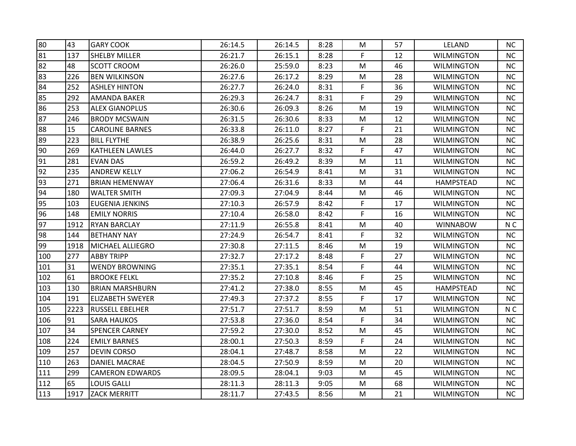| 80  | 43   | <b>GARY COOK</b>        | 26:14.5 | 26:14.5 | 8:28 | M         | 57 | <b>LELAND</b>     | <b>NC</b>      |
|-----|------|-------------------------|---------|---------|------|-----------|----|-------------------|----------------|
| 81  | 137  | <b>SHELBY MILLER</b>    | 26:21.7 | 26:15.1 | 8:28 | F         | 12 | <b>WILMINGTON</b> | <b>NC</b>      |
| 82  | 48   | <b>SCOTT CROOM</b>      | 26:26.0 | 25:59.0 | 8:23 | М         | 46 | <b>WILMINGTON</b> | <b>NC</b>      |
| 83  | 226  | <b>BEN WILKINSON</b>    | 26:27.6 | 26:17.2 | 8:29 | M         | 28 | <b>WILMINGTON</b> | <b>NC</b>      |
| 84  | 252  | <b>ASHLEY HINTON</b>    | 26:27.7 | 26:24.0 | 8:31 | F.        | 36 | <b>WILMINGTON</b> | NC             |
| 85  | 292  | AMANDA BAKER            | 26:29.3 | 26:24.7 | 8:31 | F         | 29 | <b>WILMINGTON</b> | <b>NC</b>      |
| 86  | 253  | <b>ALEX GIANOPLUS</b>   | 26:30.6 | 26:09.3 | 8:26 | M         | 19 | <b>WILMINGTON</b> | <b>NC</b>      |
| 87  | 246  | <b>BRODY MCSWAIN</b>    | 26:31.5 | 26:30.6 | 8:33 | M         | 12 | WILMINGTON        | NC             |
| 88  | 15   | <b>CAROLINE BARNES</b>  | 26:33.8 | 26:11.0 | 8:27 | F         | 21 | <b>WILMINGTON</b> | <b>NC</b>      |
| 89  | 223  | <b>BILL FLYTHE</b>      | 26:38.9 | 26:25.6 | 8:31 | ${\sf M}$ | 28 | <b>WILMINGTON</b> | <b>NC</b>      |
| 90  | 269  | KATHLEEN LAWLES         | 26:44.0 | 26:27.7 | 8:32 | F.        | 47 | <b>WILMINGTON</b> | <b>NC</b>      |
| 91  | 281  | <b>EVAN DAS</b>         | 26:59.2 | 26:49.2 | 8:39 | M         | 11 | <b>WILMINGTON</b> | <b>NC</b>      |
| 92  | 235  | <b>ANDREW KELLY</b>     | 27:06.2 | 26:54.9 | 8:41 | М         | 31 | <b>WILMINGTON</b> | <b>NC</b>      |
| 93  | 271  | <b>BRIAN HEMENWAY</b>   | 27:06.4 | 26:31.6 | 8:33 | M         | 44 | <b>HAMPSTEAD</b>  | NC.            |
| 94  | 180  | <b>WALTER SMITH</b>     | 27:09.3 | 27:04.9 | 8:44 | M         | 46 | <b>WILMINGTON</b> | <b>NC</b>      |
| 95  | 103  | <b>EUGENIA JENKINS</b>  | 27:10.3 | 26:57.9 | 8:42 | F         | 17 | <b>WILMINGTON</b> | <b>NC</b>      |
| 96  | 148  | <b>EMILY NORRIS</b>     | 27:10.4 | 26:58.0 | 8:42 | F.        | 16 | <b>WILMINGTON</b> | <b>NC</b>      |
| 97  | 1912 | <b>RYAN BARCLAY</b>     | 27:11.9 | 26:55.8 | 8:41 | M         | 40 | <b>WINNABOW</b>   | N <sub>C</sub> |
| 98  | 144  | <b>BETHANY NAY</b>      | 27:24.9 | 26:54.7 | 8:41 | F         | 32 | <b>WILMINGTON</b> | <b>NC</b>      |
| 99  | 1918 | <b>MICHAEL ALLIEGRO</b> | 27:30.8 | 27:11.5 | 8:46 | M         | 19 | <b>WILMINGTON</b> | NC             |
| 100 | 277  | <b>ABBY TRIPP</b>       | 27:32.7 | 27:17.2 | 8:48 | F.        | 27 | <b>WILMINGTON</b> | <b>NC</b>      |
| 101 | 31   | <b>WENDY BROWNING</b>   | 27:35.1 | 27:35.1 | 8:54 | F         | 44 | <b>WILMINGTON</b> | <b>NC</b>      |
| 102 | 61   | <b>BROOKE FELKL</b>     | 27:35.2 | 27:10.8 | 8:46 | F         | 25 | <b>WILMINGTON</b> | NC             |
| 103 | 130  | <b>BRIAN MARSHBURN</b>  | 27:41.2 | 27:38.0 | 8:55 | М         | 45 | HAMPSTEAD         | NC             |
| 104 | 191  | ELIZABETH SWEYER        | 27:49.3 | 27:37.2 | 8:55 | F         | 17 | <b>WILMINGTON</b> | <b>NC</b>      |
| 105 | 2223 | <b>RUSSELL EBELHER</b>  | 27:51.7 | 27:51.7 | 8:59 | M         | 51 | <b>WILMINGTON</b> | N <sub>C</sub> |
| 106 | 91   | <b>SARA HAUKOS</b>      | 27:53.8 | 27:36.0 | 8:54 | F         | 34 | <b>WILMINGTON</b> | <b>NC</b>      |
| 107 | 34   | <b>SPENCER CARNEY</b>   | 27:59.2 | 27:30.0 | 8:52 | M         | 45 | <b>WILMINGTON</b> | <b>NC</b>      |
| 108 | 224  | <b>EMILY BARNES</b>     | 28:00.1 | 27:50.3 | 8:59 | F.        | 24 | <b>WILMINGTON</b> | <b>NC</b>      |
| 109 | 257  | <b>DEVIN CORSO</b>      | 28:04.1 | 27:48.7 | 8:58 | M         | 22 | <b>WILMINGTON</b> | NC             |
| 110 | 263  | <b>DANIEL MACRAE</b>    | 28:04.5 | 27:50.9 | 8:59 | M         | 20 | <b>WILMINGTON</b> | NC             |
| 111 | 299  | <b>CAMERON EDWARDS</b>  | 28:09.5 | 28:04.1 | 9:03 | M         | 45 | <b>WILMINGTON</b> | <b>NC</b>      |
| 112 | 65   | <b>LOUIS GALLI</b>      | 28:11.3 | 28:11.3 | 9:05 | M         | 68 | <b>WILMINGTON</b> | <b>NC</b>      |
| 113 | 1917 | <b>ZACK MERRITT</b>     | 28:11.7 | 27:43.5 | 8:56 | M         | 21 | <b>WILMINGTON</b> | NC             |
|     |      |                         |         |         |      |           |    |                   |                |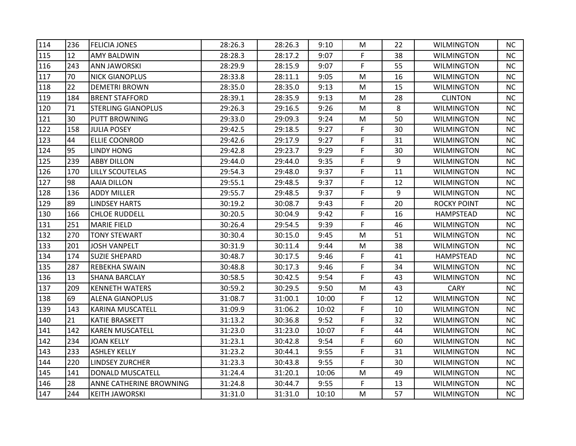| 114 | 236 | <b>FELICIA JONES</b>      | 28:26.3 | 28:26.3 | 9:10  | М  | 22 | <b>WILMINGTON</b>  | NC.       |
|-----|-----|---------------------------|---------|---------|-------|----|----|--------------------|-----------|
| 115 | 12  | <b>AMY BALDWIN</b>        | 28:28.3 | 28:17.2 | 9:07  | F  | 38 | <b>WILMINGTON</b>  | <b>NC</b> |
| 116 | 243 | ANN JAWORSKI              | 28:29.9 | 28:15.9 | 9:07  | F  | 55 | <b>WILMINGTON</b>  | <b>NC</b> |
| 117 | 70  | <b>NICK GIANOPLUS</b>     | 28:33.8 | 28:11.1 | 9:05  | M  | 16 | <b>WILMINGTON</b>  | <b>NC</b> |
| 118 | 22  | <b>DEMETRI BROWN</b>      | 28:35.0 | 28:35.0 | 9:13  | M  | 15 | <b>WILMINGTON</b>  | NC        |
| 119 | 184 | <b>BRENT STAFFORD</b>     | 28:39.1 | 28:35.9 | 9:13  | М  | 28 | <b>CLINTON</b>     | <b>NC</b> |
| 120 | 71  | <b>STERLING GIANOPLUS</b> | 29:26.3 | 29:16.5 | 9:26  | M  | 8  | <b>WILMINGTON</b>  | <b>NC</b> |
| 121 | 30  | <b>PUTT BROWNING</b>      | 29:33.0 | 29:09.3 | 9:24  | M  | 50 | WILMINGTON         | <b>NC</b> |
| 122 | 158 | <b>JULIA POSEY</b>        | 29:42.5 | 29:18.5 | 9:27  | F  | 30 | <b>WILMINGTON</b>  | <b>NC</b> |
| 123 | 44  | <b>ELLIE COONROD</b>      | 29:42.6 | 29:17.9 | 9:27  | F  | 31 | <b>WILMINGTON</b>  | <b>NC</b> |
| 124 | 95  | <b>LINDY HONG</b>         | 29:42.8 | 29:23.7 | 9:29  | F  | 30 | <b>WILMINGTON</b>  | NC.       |
| 125 | 239 | <b>ABBY DILLON</b>        | 29:44.0 | 29:44.0 | 9:35  | F. | 9  | <b>WILMINGTON</b>  | <b>NC</b> |
| 126 | 170 | <b>LILLY SCOUTELAS</b>    | 29:54.3 | 29:48.0 | 9:37  | F  | 11 | <b>WILMINGTON</b>  | <b>NC</b> |
| 127 | 98  | <b>AAIA DILLON</b>        | 29:55.1 | 29:48.5 | 9:37  | F  | 12 | <b>WILMINGTON</b>  | NC.       |
| 128 | 136 | ADDY MILLER               | 29:55.7 | 29:48.5 | 9:37  | F  | 9  | <b>WILMINGTON</b>  | <b>NC</b> |
| 129 | 89  | <b>LINDSEY HARTS</b>      | 30:19.2 | 30:08.7 | 9:43  | F  | 20 | <b>ROCKY POINT</b> | <b>NC</b> |
| 130 | 166 | <b>CHLOE RUDDELL</b>      | 30:20.5 | 30:04.9 | 9:42  | F  | 16 | <b>HAMPSTEAD</b>   | <b>NC</b> |
| 131 | 251 | <b>MARIE FIELD</b>        | 30:26.4 | 29:54.5 | 9:39  | F  | 46 | <b>WILMINGTON</b>  | NC        |
| 132 | 270 | <b>TONY STEWART</b>       | 30:30.4 | 30:15.0 | 9:45  | M  | 51 | <b>WILMINGTON</b>  | <b>NC</b> |
| 133 | 201 | <b>JOSH VANPELT</b>       | 30:31.9 | 30:11.4 | 9:44  | M  | 38 | <b>WILMINGTON</b>  | <b>NC</b> |
| 134 | 174 | <b>SUZIE SHEPARD</b>      | 30:48.7 | 30:17.5 | 9:46  | F. | 41 | <b>HAMPSTEAD</b>   | <b>NC</b> |
| 135 | 287 | <b>REBEKHA SWAIN</b>      | 30:48.8 | 30:17.3 | 9:46  | F  | 34 | <b>WILMINGTON</b>  | <b>NC</b> |
| 136 | 13  | <b>SHANA BARCLAY</b>      | 30:58.5 | 30:42.5 | 9:54  | F  | 43 | <b>WILMINGTON</b>  | NC        |
| 137 | 209 | <b>KENNETH WATERS</b>     | 30:59.2 | 30:29.5 | 9:50  | М  | 43 | <b>CARY</b>        | <b>NC</b> |
| 138 | 69  | <b>ALENA GIANOPLUS</b>    | 31:08.7 | 31:00.1 | 10:00 | F  | 12 | <b>WILMINGTON</b>  | <b>NC</b> |
| 139 | 143 | <b>KARINA MUSCATELL</b>   | 31:09.9 | 31:06.2 | 10:02 | F  | 10 | <b>WILMINGTON</b>  | NC        |
| 140 | 21  | <b>KATIE BRASKETT</b>     | 31:13.2 | 30:36.8 | 9:52  | F  | 32 | WILMINGTON         | <b>NC</b> |
| 141 | 142 | <b>KAREN MUSCATELL</b>    | 31:23.0 | 31:23.0 | 10:07 | F  | 44 | <b>WILMINGTON</b>  | <b>NC</b> |
| 142 | 234 | <b>JOAN KELLY</b>         | 31:23.1 | 30:42.8 | 9:54  | F  | 60 | <b>WILMINGTON</b>  | <b>NC</b> |
| 143 | 233 | <b>ASHLEY KELLY</b>       | 31:23.2 | 30:44.1 | 9:55  | F  | 31 | <b>WILMINGTON</b>  | <b>NC</b> |
| 144 | 220 | <b>LINDSEY ZURCHER</b>    | 31:23.3 | 30:43.8 | 9:55  | F. | 30 | <b>WILMINGTON</b>  | NC        |
| 145 | 141 | <b>DONALD MUSCATELL</b>   | 31:24.4 | 31:20.1 | 10:06 | М  | 49 | <b>WILMINGTON</b>  | NC.       |
| 146 | 28  | ANNE CATHERINE BROWNING   | 31:24.8 | 30:44.7 | 9:55  | F. | 13 | <b>WILMINGTON</b>  | <b>NC</b> |
| 147 | 244 | <b>KEITH JAWORSKI</b>     | 31:31.0 | 31:31.0 | 10:10 | M  | 57 | <b>WILMINGTON</b>  | NC        |
|     |     |                           |         |         |       |    |    |                    |           |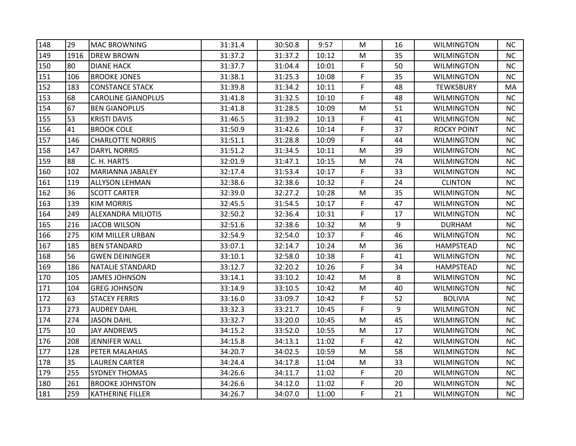| 148 | 29   | <b>MAC BROWNING</b>       | 31:31.4 | 30:50.8 | 9:57  | М         | 16 | <b>WILMINGTON</b>  | NC.       |
|-----|------|---------------------------|---------|---------|-------|-----------|----|--------------------|-----------|
| 149 | 1916 | <b>DREW BROWN</b>         | 31:37.2 | 31:37.2 | 10:12 | M         | 35 | <b>WILMINGTON</b>  | <b>NC</b> |
| 150 | 80   | <b>DIANE HACK</b>         | 31:37.7 | 31:04.4 | 10:01 | F.        | 50 | <b>WILMINGTON</b>  | <b>NC</b> |
| 151 | 106  | <b>BROOKE JONES</b>       | 31:38.1 | 31:25.3 | 10:08 | F         | 35 | <b>WILMINGTON</b>  | <b>NC</b> |
| 152 | 183  | <b>CONSTANCE STACK</b>    | 31:39.8 | 31:34.2 | 10:11 | F         | 48 | <b>TEWKSBURY</b>   | MA        |
| 153 | 68   | <b>CAROLINE GIANOPLUS</b> | 31:41.8 | 31:32.5 | 10:10 | F         | 48 | <b>WILMINGTON</b>  | NC.       |
| 154 | 67   | <b>BEN GIANOPLUS</b>      | 31:41.8 | 31:28.5 | 10:09 | M         | 51 | <b>WILMINGTON</b>  | <b>NC</b> |
| 155 | 53   | <b>KRISTI DAVIS</b>       | 31:46.5 | 31:39.2 | 10:13 | F.        | 41 | <b>WILMINGTON</b>  | <b>NC</b> |
| 156 | 41   | <b>BROOK COLE</b>         | 31:50.9 | 31:42.6 | 10:14 | F         | 37 | <b>ROCKY POINT</b> | <b>NC</b> |
| 157 | 146  | <b>CHARLOTTE NORRIS</b>   | 31:51.1 | 31:28.8 | 10:09 | F         | 44 | <b>WILMINGTON</b>  | <b>NC</b> |
| 158 | 147  | DARYL NORRIS              | 31:51.2 | 31:34.5 | 10:11 | M         | 39 | WILMINGTON         | <b>NC</b> |
| 159 | 88   | C. H. HARTS               | 32:01.9 | 31:47.1 | 10:15 | M         | 74 | <b>WILMINGTON</b>  | NC.       |
| 160 | 102  | <b>MARIANNA JABALEY</b>   | 32:17.4 | 31:53.4 | 10:17 | F         | 33 | <b>WILMINGTON</b>  | NC        |
| 161 | 119  | <b>ALLYSON LEHMAN</b>     | 32:38.6 | 32:38.6 | 10:32 | F.        | 24 | <b>CLINTON</b>     | <b>NC</b> |
| 162 | 36   | <b>SCOTT CARTER</b>       | 32:39.0 | 32:27.2 | 10:28 | M         | 35 | <b>WILMINGTON</b>  | <b>NC</b> |
| 163 | 139  | <b>KIM MORRIS</b>         | 32:45.5 | 31:54.5 | 10:17 | F         | 47 | <b>WILMINGTON</b>  | <b>NC</b> |
| 164 | 249  | <b>ALEXANDRA MILIOTIS</b> | 32:50.2 | 32:36.4 | 10:31 | F         | 17 | <b>WILMINGTON</b>  | <b>NC</b> |
| 165 | 216  | <b>JACOB WILSON</b>       | 32:51.6 | 32:38.6 | 10:32 | ${\sf M}$ | 9  | <b>DURHAM</b>      | NC        |
| 166 | 275  | KIM MILLER URBAN          | 32:54.9 | 32:54.0 | 10:37 | F.        | 46 | <b>WILMINGTON</b>  | NC        |
| 167 | 185  | <b>BEN STANDARD</b>       | 33:07.1 | 32:14.7 | 10:24 | ${\sf M}$ | 36 | <b>HAMPSTEAD</b>   | <b>NC</b> |
| 168 | 56   | <b>GWEN DEININGER</b>     | 33:10.1 | 32:58.0 | 10:38 | F         | 41 | <b>WILMINGTON</b>  | NC        |
| 169 | 186  | NATALIE STANDARD          | 33:12.7 | 32:20.2 | 10:26 | F         | 34 | <b>HAMPSTEAD</b>   | <b>NC</b> |
| 170 | 105  | <b>JAMES JOHNSON</b>      | 33:14.1 | 33:10.2 | 10:42 | M         | 8  | <b>WILMINGTON</b>  | <b>NC</b> |
| 171 | 104  | <b>GREG JOHNSON</b>       | 33:14.9 | 33:10.5 | 10:42 | M         | 40 | <b>WILMINGTON</b>  | NC        |
| 172 | 63   | <b>STACEY FERRIS</b>      | 33:16.0 | 33:09.7 | 10:42 | F         | 52 | <b>BOLIVIA</b>     | <b>NC</b> |
| 173 | 273  | <b>AUDREY DAHL</b>        | 33:32.3 | 33:21.7 | 10:45 | F.        | 9  | <b>WILMINGTON</b>  | <b>NC</b> |
| 174 | 274  | <b>JASON DAHL</b>         | 33:32.7 | 33:20.0 | 10:45 | М         | 45 | <b>WILMINGTON</b>  | <b>NC</b> |
| 175 | 10   | <b>JAY ANDREWS</b>        | 34:15.2 | 33:52.0 | 10:55 | M         | 17 | <b>WILMINGTON</b>  | <b>NC</b> |
| 176 | 208  | <b>JENNIFER WALL</b>      | 34:15.8 | 34:13.1 | 11:02 | F         | 42 | <b>WILMINGTON</b>  | <b>NC</b> |
| 177 | 128  | PETER MALAHIAS            | 34:20.7 | 34:02.5 | 10:59 | M         | 58 | <b>WILMINGTON</b>  | <b>NC</b> |
| 178 | 35   | <b>LAUREN CARTER</b>      | 34:24.4 | 34:17.8 | 11:04 | M         | 33 | <b>WILMINGTON</b>  | <b>NC</b> |
| 179 | 255  | <b>SYDNEY THOMAS</b>      | 34:26.6 | 34:11.7 | 11:02 | F.        | 20 | <b>WILMINGTON</b>  | <b>NC</b> |
| 180 | 261  | <b>BROOKE JOHNSTON</b>    | 34:26.6 | 34:12.0 | 11:02 | F         | 20 | <b>WILMINGTON</b>  | NC        |
| 181 | 259  | <b>KATHERINE FILLER</b>   | 34:26.7 | 34:07.0 | 11:00 | F.        | 21 | <b>WILMINGTON</b>  | NC        |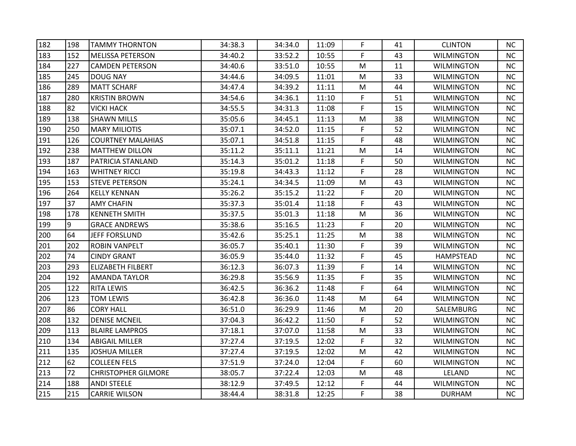| 182 | 198 | <b>TAMMY THORNTON</b>      | 34:38.3 | 34:34.0 | 11:09 | F  | 41 | <b>CLINTON</b>    | NC.       |
|-----|-----|----------------------------|---------|---------|-------|----|----|-------------------|-----------|
| 183 | 152 | <b>MELISSA PETERSON</b>    | 34:40.2 | 33:52.2 | 10:55 | F. | 43 | <b>WILMINGTON</b> | <b>NC</b> |
| 184 | 227 | CAMDEN PETERSON            | 34:40.6 | 33:51.0 | 10:55 | М  | 11 | <b>WILMINGTON</b> | <b>NC</b> |
| 185 | 245 | DOUG NAY                   | 34:44.6 | 34:09.5 | 11:01 | M  | 33 | <b>WILMINGTON</b> | <b>NC</b> |
| 186 | 289 | <b>MATT SCHARF</b>         | 34:47.4 | 34:39.2 | 11:11 | M  | 44 | <b>WILMINGTON</b> | <b>NC</b> |
| 187 | 280 | <b>KRISTIN BROWN</b>       | 34:54.6 | 34:36.1 | 11:10 | F  | 51 | <b>WILMINGTON</b> | <b>NC</b> |
| 188 | 82  | <b>VICKI HACK</b>          | 34:55.5 | 34:31.3 | 11:08 | F  | 15 | <b>WILMINGTON</b> | <b>NC</b> |
| 189 | 138 | <b>SHAWN MILLS</b>         | 35:05.6 | 34:45.1 | 11:13 | M  | 38 | WILMINGTON        | <b>NC</b> |
| 190 | 250 | <b>MARY MILIOTIS</b>       | 35:07.1 | 34:52.0 | 11:15 | F  | 52 | <b>WILMINGTON</b> | <b>NC</b> |
| 191 | 126 | <b>COURTNEY MALAHIAS</b>   | 35:07.1 | 34:51.8 | 11:15 | F  | 48 | <b>WILMINGTON</b> | <b>NC</b> |
| 192 | 238 | <b>MATTHEW DILLON</b>      | 35:11.2 | 35:11.1 | 11:21 | М  | 14 | <b>WILMINGTON</b> | NC.       |
| 193 | 187 | PATRICIA STANLAND          | 35:14.3 | 35:01.2 | 11:18 | F. | 50 | <b>WILMINGTON</b> | <b>NC</b> |
| 194 | 163 | <b>WHITNEY RICCI</b>       | 35:19.8 | 34:43.3 | 11:12 | F. | 28 | <b>WILMINGTON</b> | <b>NC</b> |
| 195 | 153 | <b>STEVE PETERSON</b>      | 35:24.1 | 34:34.5 | 11:09 | м  | 43 | <b>WILMINGTON</b> | NC.       |
| 196 | 264 | <b>KELLY KENNAN</b>        | 35:26.2 | 35:15.2 | 11:22 | F  | 20 | <b>WILMINGTON</b> | <b>NC</b> |
| 197 | 37  | <b>AMY CHAFIN</b>          | 35:37.3 | 35:01.4 | 11:18 | F  | 43 | <b>WILMINGTON</b> | <b>NC</b> |
| 198 | 178 | <b>KENNETH SMITH</b>       | 35:37.5 | 35:01.3 | 11:18 | М  | 36 | <b>WILMINGTON</b> | <b>NC</b> |
| 199 | 9   | <b>GRACE ANDREWS</b>       | 35:38.6 | 35:16.5 | 11:23 | F. | 20 | <b>WILMINGTON</b> | NC        |
| 200 | 64  | <b>JEFF FORSLUND</b>       | 35:42.6 | 35:25.1 | 11:25 | м  | 38 | <b>WILMINGTON</b> | <b>NC</b> |
| 201 | 202 | <b>ROBIN VANPELT</b>       | 36:05.7 | 35:40.1 | 11:30 | F  | 39 | <b>WILMINGTON</b> | <b>NC</b> |
| 202 | 74  | <b>CINDY GRANT</b>         | 36:05.9 | 35:44.0 | 11:32 | F  | 45 | <b>HAMPSTEAD</b>  | NC        |
| 203 | 293 | <b>ELIZABETH FILBERT</b>   | 36:12.3 | 36:07.3 | 11:39 | F  | 14 | <b>WILMINGTON</b> | <b>NC</b> |
| 204 | 192 | <b>AMANDA TAYLOR</b>       | 36:29.8 | 35:56.9 | 11:35 | F  | 35 | <b>WILMINGTON</b> | <b>NC</b> |
| 205 | 122 | <b>RITA LEWIS</b>          | 36:42.5 | 36:36.2 | 11:48 | F. | 64 | WILMINGTON        | <b>NC</b> |
| 206 | 123 | TOM LEWIS                  | 36:42.8 | 36:36.0 | 11:48 | M  | 64 | <b>WILMINGTON</b> | <b>NC</b> |
| 207 | 86  | <b>CORY HALL</b>           | 36:51.0 | 36:29.9 | 11:46 | M  | 20 | SALEMBURG         | NC        |
| 208 | 132 | <b>DENISE MCNEIL</b>       | 37:04.3 | 36:42.2 | 11:50 | F  | 52 | <b>WILMINGTON</b> | <b>NC</b> |
| 209 | 113 | <b>BLAIRE LAMPROS</b>      | 37:18.1 | 37:07.0 | 11:58 | M  | 33 | WILMINGTON        | <b>NC</b> |
| 210 | 134 | <b>ABIGAIL MILLER</b>      | 37:27.4 | 37:19.5 | 12:02 | F. | 32 | <b>WILMINGTON</b> | <b>NC</b> |
| 211 | 135 | <b>JOSHUA MILLER</b>       | 37:27.4 | 37:19.5 | 12:02 | M  | 42 | <b>WILMINGTON</b> | <b>NC</b> |
| 212 | 62  | <b>COLLEEN FELS</b>        | 37:51.9 | 37:24.0 | 12:04 | F. | 60 | <b>WILMINGTON</b> | NC        |
| 213 | 72  | <b>CHRISTOPHER GILMORE</b> | 38:05.7 | 37:22.4 | 12:03 | М  | 48 | LELAND            | <b>NC</b> |
| 214 | 188 | <b>ANDI STEELE</b>         | 38:12.9 | 37:49.5 | 12:12 | F  | 44 | <b>WILMINGTON</b> | <b>NC</b> |
| 215 | 215 | <b>CARRIE WILSON</b>       | 38:44.4 | 38:31.8 | 12:25 | F. | 38 | <b>DURHAM</b>     | NC        |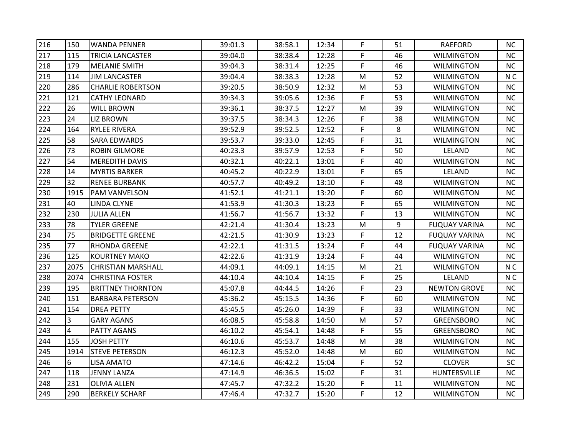| 216 | 150  | <b>WANDA PENNER</b>       | 39:01.3 | 38:58.1 | 12:34 | F. | 51 | <b>RAEFORD</b>       | NC.            |
|-----|------|---------------------------|---------|---------|-------|----|----|----------------------|----------------|
| 217 | 115  | <b>TRICIA LANCASTER</b>   | 39:04.0 | 38:38.4 | 12:28 | F  | 46 | <b>WILMINGTON</b>    | <b>NC</b>      |
| 218 | 179  | <b>MELANIE SMITH</b>      | 39:04.3 | 38:31.4 | 12:25 | F. | 46 | <b>WILMINGTON</b>    | <b>NC</b>      |
| 219 | 114  | <b>JIM LANCASTER</b>      | 39:04.4 | 38:38.3 | 12:28 | M  | 52 | <b>WILMINGTON</b>    | N <sub>C</sub> |
| 220 | 286  | <b>CHARLIE ROBERTSON</b>  | 39:20.5 | 38:50.9 | 12:32 | M  | 53 | <b>WILMINGTON</b>    | NC             |
| 221 | 121  | <b>CATHY LEONARD</b>      | 39:34.3 | 39:05.6 | 12:36 | F. | 53 | <b>WILMINGTON</b>    | <b>NC</b>      |
| 222 | 26   | <b>WILL BROWN</b>         | 39:36.1 | 38:37.5 | 12:27 | M  | 39 | <b>WILMINGTON</b>    | <b>NC</b>      |
| 223 | 24   | <b>LIZ BROWN</b>          | 39:37.5 | 38:34.3 | 12:26 | F. | 38 | <b>WILMINGTON</b>    | NC             |
| 224 | 164  | <b>RYLEE RIVERA</b>       | 39:52.9 | 39:52.5 | 12:52 | F. | 8  | <b>WILMINGTON</b>    | <b>NC</b>      |
| 225 | 58   | <b>SARA EDWARDS</b>       | 39:53.7 | 39:33.0 | 12:45 | F  | 31 | <b>WILMINGTON</b>    | <b>NC</b>      |
| 226 | 73   | <b>ROBIN GILMORE</b>      | 40:23.3 | 39:57.9 | 12:53 | F  | 50 | LELAND               | <b>NC</b>      |
| 227 | 54   | <b>MEREDITH DAVIS</b>     | 40:32.1 | 40:22.1 | 13:01 | F. | 40 | <b>WILMINGTON</b>    | <b>NC</b>      |
| 228 | 14   | <b>MYRTIS BARKER</b>      | 40:45.2 | 40:22.9 | 13:01 | F. | 65 | LELAND               | NC             |
| 229 | 32   | <b>RENEE BURBANK</b>      | 40:57.7 | 40:49.2 | 13:10 | F. | 48 | <b>WILMINGTON</b>    | NC             |
| 230 | 1915 | <b>PAM VANVELSON</b>      | 41:52.1 | 41:21.1 | 13:20 | F  | 60 | WILMINGTON           | <b>NC</b>      |
| 231 | 40   | LINDA CLYNE               | 41:53.9 | 41:30.3 | 13:23 | F  | 65 | <b>WILMINGTON</b>    | NC             |
| 232 | 230  | <b>JULIA ALLEN</b>        | 41:56.7 | 41:56.7 | 13:32 | F  | 13 | <b>WILMINGTON</b>    | <b>NC</b>      |
| 233 | 78   | <b>TYLER GREENE</b>       | 42:21.4 | 41:30.4 | 13:23 | M  | 9  | <b>FUQUAY VARINA</b> | NC             |
| 234 | 75   | <b>BRIDGETTE GREENE</b>   | 42:21.5 | 41:30.9 | 13:23 | F. | 12 | <b>FUQUAY VARINA</b> | <b>NC</b>      |
| 235 | 77   | <b>RHONDA GREENE</b>      | 42:22.1 | 41:31.5 | 13:24 | F. | 44 | <b>FUQUAY VARINA</b> | NC             |
| 236 | 125  | <b>KOURTNEY MAKO</b>      | 42:22.6 | 41:31.9 | 13:24 | F. | 44 | <b>WILMINGTON</b>    | NC             |
| 237 | 2075 | <b>CHRISTIAN MARSHALL</b> | 44:09.1 | 44:09.1 | 14:15 | M  | 21 | <b>WILMINGTON</b>    | N <sub>C</sub> |
| 238 | 2074 | <b>CHRISTINA FOSTER</b>   | 44:10.4 | 44:10.4 | 14:15 | F. | 25 | LELAND               | N <sub>C</sub> |
| 239 | 195  | <b>BRITTNEY THORNTON</b>  | 45:07.8 | 44:44.5 | 14:26 | F. | 23 | <b>NEWTON GROVE</b>  | <b>NC</b>      |
| 240 | 151  | <b>BARBARA PETERSON</b>   | 45:36.2 | 45:15.5 | 14:36 | F. | 60 | <b>WILMINGTON</b>    | <b>NC</b>      |
| 241 | 154  | <b>DREA PETTY</b>         | 45:45.5 | 45:26.0 | 14:39 | F  | 33 | <b>WILMINGTON</b>    | NC             |
| 242 | 3    | <b>GARY AGANS</b>         | 46:08.5 | 45:58.8 | 14:50 | M  | 57 | <b>GREENSBORO</b>    | <b>NC</b>      |
| 243 | 4    | <b>PATTY AGANS</b>        | 46:10.2 | 45:54.1 | 14:48 | F. | 55 | <b>GREENSBORO</b>    | <b>NC</b>      |
| 244 | 155  | <b>JOSH PETTY</b>         | 46:10.6 | 45:53.7 | 14:48 | M  | 38 | <b>WILMINGTON</b>    | NC             |
| 245 | 1914 | <b>STEVE PETERSON</b>     | 46:12.3 | 45:52.0 | 14:48 | M  | 60 | <b>WILMINGTON</b>    | <b>NC</b>      |
| 246 | 6    | <b>LISA AMATO</b>         | 47:14.6 | 46:42.2 | 15:04 | F  | 52 | <b>CLOVER</b>        | <b>SC</b>      |
| 247 | 118  | <b>JENNY LANZA</b>        | 47:14.9 | 46:36.5 | 15:02 | F. | 31 | HUNTERSVILLE         | <b>NC</b>      |
| 248 | 231  | <b>OLIVIA ALLEN</b>       | 47:45.7 | 47:32.2 | 15:20 | F. | 11 | <b>WILMINGTON</b>    | <b>NC</b>      |
| 249 | 290  | <b>BERKELY SCHARF</b>     | 47:46.4 | 47:32.7 | 15:20 | F. | 12 | <b>WILMINGTON</b>    | NC             |